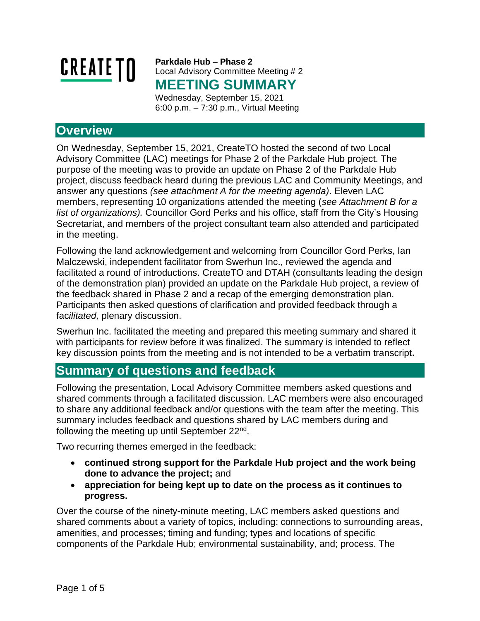

**Parkdale Hub – Phase 2** Local Advisory Committee Meeting # 2 **MEETING SUMMARY** Wednesday, September 15, 2021

6:00 p.m. – 7:30 p.m., Virtual Meeting

## **Overview**

On Wednesday, September 15, 2021, CreateTO hosted the second of two Local Advisory Committee (LAC) meetings for Phase 2 of the Parkdale Hub project. The purpose of the meeting was to provide an update on Phase 2 of the Parkdale Hub project, discuss feedback heard during the previous LAC and Community Meetings, and answer any questions *(see attachment A for the meeting agenda)*. Eleven LAC members, representing 10 organizations attended the meeting (*see Attachment B for a list of organizations).* Councillor Gord Perks and his office, staff from the City's Housing Secretariat, and members of the project consultant team also attended and participated in the meeting.

Following the land acknowledgement and welcoming from Councillor Gord Perks, Ian Malczewski, independent facilitator from Swerhun Inc., reviewed the agenda and facilitated a round of introductions. CreateTO and DTAH (consultants leading the design of the demonstration plan) provided an update on the Parkdale Hub project, a review of the feedback shared in Phase 2 and a recap of the emerging demonstration plan. Participants then asked questions of clarification and provided feedback through a fac*ilitated,* plenary discussion.

Swerhun Inc. facilitated the meeting and prepared this meeting summary and shared it with participants for review before it was finalized. The summary is intended to reflect key discussion points from the meeting and is not intended to be a verbatim transcript**.** 

## **Summary of questions and feedback**

Following the presentation, Local Advisory Committee members asked questions and shared comments through a facilitated discussion. LAC members were also encouraged to share any additional feedback and/or questions with the team after the meeting. This summary includes feedback and questions shared by LAC members during and following the meeting up until September 22<sup>nd</sup>.

Two recurring themes emerged in the feedback:

- **continued strong support for the Parkdale Hub project and the work being done to advance the project;** and
- **appreciation for being kept up to date on the process as it continues to progress.**

Over the course of the ninety-minute meeting, LAC members asked questions and shared comments about a variety of topics, including: connections to surrounding areas, amenities, and processes; timing and funding; types and locations of specific components of the Parkdale Hub; environmental sustainability, and; process. The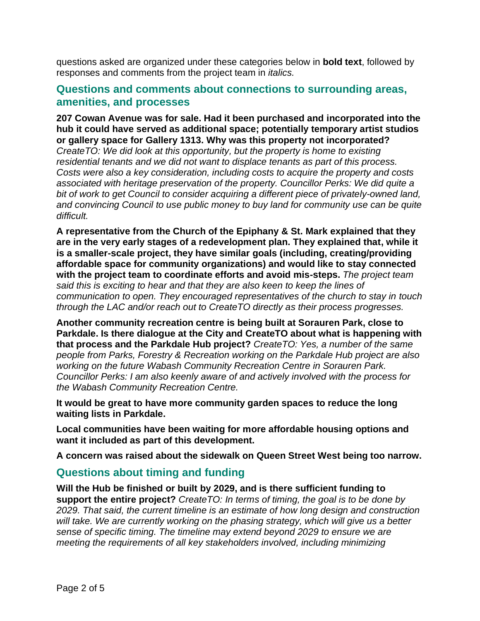questions asked are organized under these categories below in **bold text**, followed by responses and comments from the project team in *italics.*

### **Questions and comments about connections to surrounding areas, amenities, and processes**

**207 Cowan Avenue was for sale. Had it been purchased and incorporated into the hub it could have served as additional space; potentially temporary artist studios or gallery space for Gallery 1313. Why was this property not incorporated?**  *CreateTO: We did look at this opportunity, but the property is home to existing residential tenants and we did not want to displace tenants as part of this process. Costs were also a key consideration, including costs to acquire the property and costs associated with heritage preservation of the property. Councillor Perks: We did quite a bit of work to get Council to consider acquiring a different piece of privately-owned land, and convincing Council to use public money to buy land for community use can be quite difficult.*

**A representative from the Church of the Epiphany & St. Mark explained that they are in the very early stages of a redevelopment plan. They explained that, while it is a smaller-scale project, they have similar goals (including, creating/providing affordable space for community organizations) and would like to stay connected with the project team to coordinate efforts and avoid mis-steps.** *The project team said this is exciting to hear and that they are also keen to keep the lines of communication to open. They encouraged representatives of the church to stay in touch through the LAC and/or reach out to CreateTO directly as their process progresses.*

**Another community recreation centre is being built at Sorauren Park, close to Parkdale. Is there dialogue at the City and CreateTO about what is happening with that process and the Parkdale Hub project?** *CreateTO: Yes, a number of the same people from Parks, Forestry & Recreation working on the Parkdale Hub project are also working on the future Wabash Community Recreation Centre in Sorauren Park. Councillor Perks: I am also keenly aware of and actively involved with the process for the Wabash Community Recreation Centre.*

**It would be great to have more community garden spaces to reduce the long waiting lists in Parkdale.**

**Local communities have been waiting for more affordable housing options and want it included as part of this development.** 

**A concern was raised about the sidewalk on Queen Street West being too narrow.**

### **Questions about timing and funding**

**Will the Hub be finished or built by 2029, and is there sufficient funding to support the entire project?** *CreateTO: In terms of timing, the goal is to be done by 2029. That said, the current timeline is an estimate of how long design and construction will take. We are currently working on the phasing strategy, which will give us a better sense of specific timing. The timeline may extend beyond 2029 to ensure we are meeting the requirements of all key stakeholders involved, including minimizing*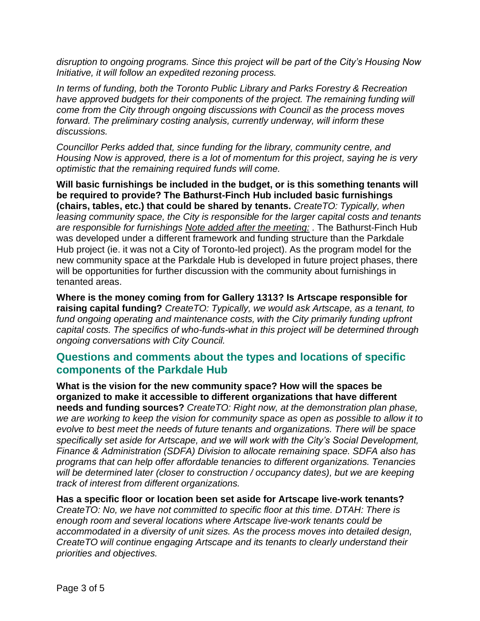*disruption to ongoing programs. Since this project will be part of the City's Housing Now Initiative, it will follow an expedited rezoning process.*

*In terms of funding, both the Toronto Public Library and Parks Forestry & Recreation have approved budgets for their components of the project. The remaining funding will come from the City through ongoing discussions with Council as the process moves forward. The preliminary costing analysis, currently underway, will inform these discussions.* 

*Councillor Perks added that, since funding for the library, community centre, and Housing Now is approved, there is a lot of momentum for this project, saying he is very optimistic that the remaining required funds will come.* 

**Will basic furnishings be included in the budget, or is this something tenants will be required to provide? The Bathurst-Finch Hub included basic furnishings (chairs, tables, etc.) that could be shared by tenants.** *CreateTO: Typically, when leasing community space, the City is responsible for the larger capital costs and tenants are responsible for furnishings Note added after the meeting: .* The Bathurst-Finch Hub was developed under a different framework and funding structure than the Parkdale Hub project (ie. it was not a City of Toronto-led project). As the program model for the new community space at the Parkdale Hub is developed in future project phases, there will be opportunities for further discussion with the community about furnishings in tenanted areas.

**Where is the money coming from for Gallery 1313? Is Artscape responsible for raising capital funding?** *CreateTO: Typically, we would ask Artscape, as a tenant, to fund ongoing operating and maintenance costs, with the City primarily funding upfront capital costs. The specifics of who-funds-what in this project will be determined through ongoing conversations with City Council.*

### **Questions and comments about the types and locations of specific components of the Parkdale Hub**

**What is the vision for the new community space? How will the spaces be organized to make it accessible to different organizations that have different needs and funding sources?** *CreateTO: Right now, at the demonstration plan phase, we are working to keep the vision for community space as open as possible to allow it to evolve to best meet the needs of future tenants and organizations. There will be space specifically set aside for Artscape, and we will work with the City's Social Development, Finance & Administration (SDFA) Division to allocate remaining space. SDFA also has programs that can help offer affordable tenancies to different organizations. Tenancies will be determined later (closer to construction / occupancy dates), but we are keeping track of interest from different organizations.*

**Has a specific floor or location been set aside for Artscape live-work tenants?**  *CreateTO: No, we have not committed to specific floor at this time. DTAH: There is enough room and several locations where Artscape live-work tenants could be accommodated in a diversity of unit sizes. As the process moves into detailed design, CreateTO will continue engaging Artscape and its tenants to clearly understand their priorities and objectives.*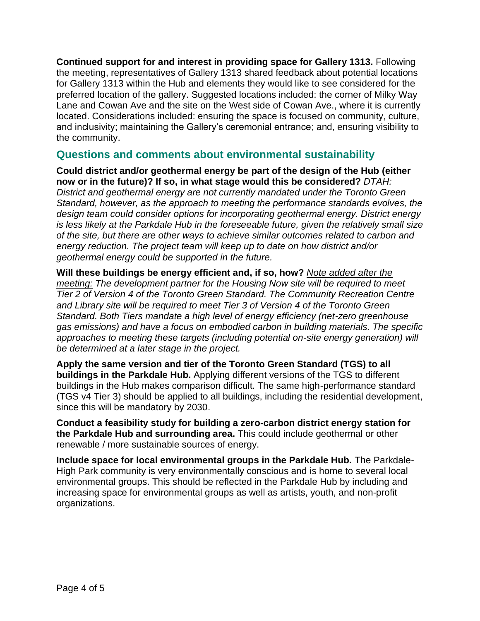**Continued support for and interest in providing space for Gallery 1313.** Following the meeting, representatives of Gallery 1313 shared feedback about potential locations for Gallery 1313 within the Hub and elements they would like to see considered for the preferred location of the gallery. Suggested locations included: the corner of Milky Way Lane and Cowan Ave and the site on the West side of Cowan Ave., where it is currently located. Considerations included: ensuring the space is focused on community, culture, and inclusivity; maintaining the Gallery's ceremonial entrance; and, ensuring visibility to the community.

### **Questions and comments about environmental sustainability**

**Could district and/or geothermal energy be part of the design of the Hub (either now or in the future)? If so, in what stage would this be considered?** *DTAH:* 

*District and geothermal energy are not currently mandated under the Toronto Green Standard, however, as the approach to meeting the performance standards evolves, the design team could consider options for incorporating geothermal energy. District energy is less likely at the Parkdale Hub in the foreseeable future, given the relatively small size of the site, but there are other ways to achieve similar outcomes related to carbon and energy reduction. The project team will keep up to date on how district and/or geothermal energy could be supported in the future.*

**Will these buildings be energy efficient and, if so, how?** *Note added after the meeting: The development partner for the Housing Now site will be required to meet Tier 2 of Version 4 of the Toronto Green Standard. The Community Recreation Centre and Library site will be required to meet Tier 3 of Version 4 of the Toronto Green Standard. Both Tiers mandate a high level of energy efficiency (net-zero greenhouse gas emissions) and have a focus on embodied carbon in building materials. The specific approaches to meeting these targets (including potential on-site energy generation) will be determined at a later stage in the project.* 

**Apply the same version and tier of the Toronto Green Standard (TGS) to all buildings in the Parkdale Hub.** Applying different versions of the TGS to different buildings in the Hub makes comparison difficult. The same high-performance standard (TGS v4 Tier 3) should be applied to all buildings, including the residential development, since this will be mandatory by 2030.

**Conduct a feasibility study for building a zero-carbon district energy station for the Parkdale Hub and surrounding area.** This could include geothermal or other renewable / more sustainable sources of energy.

**Include space for local environmental groups in the Parkdale Hub.** The Parkdale-High Park community is very environmentally conscious and is home to several local environmental groups. This should be reflected in the Parkdale Hub by including and increasing space for environmental groups as well as artists, youth, and non-profit organizations.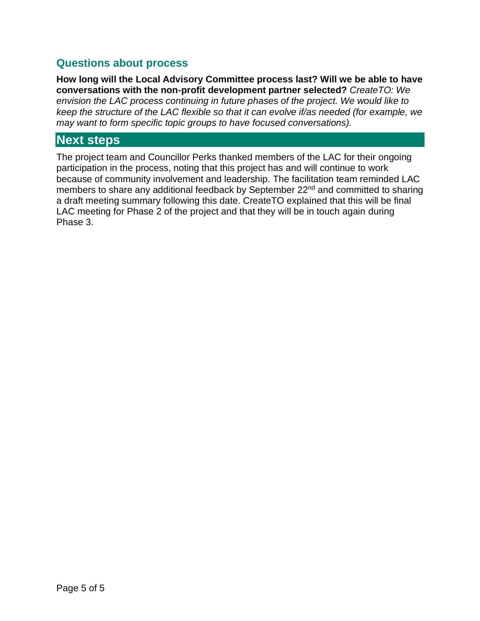### **Questions about process**

**How long will the Local Advisory Committee process last? Will we be able to have conversations with the non-profit development partner selected?** *CreateTO: We envision the LAC process continuing in future phases of the project. We would like to keep the structure of the LAC flexible so that it can evolve if/as needed (for example, we may want to form specific topic groups to have focused conversations).*

## **Next steps**

The project team and Councillor Perks thanked members of the LAC for their ongoing participation in the process, noting that this project has and will continue to work because of community involvement and leadership. The facilitation team reminded LAC members to share any additional feedback by September 22<sup>nd</sup> and committed to sharing a draft meeting summary following this date. CreateTO explained that this will be final LAC meeting for Phase 2 of the project and that they will be in touch again during Phase 3.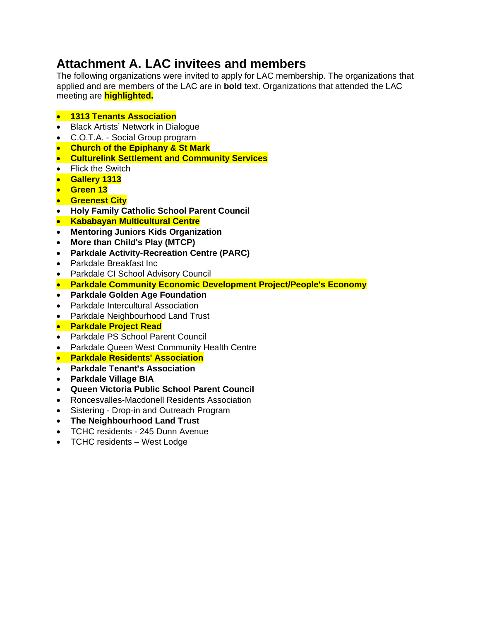# **Attachment A. LAC invitees and members**

The following organizations were invited to apply for LAC membership. The organizations that applied and are members of the LAC are in **bold** text. Organizations that attended the LAC meeting are **highlighted.**

#### • **1313 Tenants Association**

- Black Artists' Network in Dialogue
- C.O.T.A. Social Group program
- **Church of the Epiphany & St Mark**
- **Culturelink Settlement and Community Services**
- Flick the Switch
- **Gallery 1313**
- **Green 13**
- **Greenest City**
- **Holy Family Catholic School Parent Council**
- **Kababayan Multicultural Centre**
- **Mentoring Juniors Kids Organization**
- **More than Child's Play (MTCP)**
- **Parkdale Activity-Recreation Centre (PARC)**
- Parkdale Breakfast Inc
- Parkdale CI School Advisory Council
- **Parkdale Community Economic Development Project/People's Economy**
- **Parkdale Golden Age Foundation**
- Parkdale Intercultural Association
- Parkdale Neighbourhood Land Trust
- **Parkdale Project Read**
- Parkdale PS School Parent Council
- Parkdale Queen West Community Health Centre
- **Parkdale Residents' Association**
- **Parkdale Tenant's Association**
- **Parkdale Village BIA**
- **Queen Victoria Public School Parent Council**
- Roncesvalles-Macdonell Residents Association
- Sistering Drop-in and Outreach Program
- **The Neighbourhood Land Trust**
- TCHC residents 245 Dunn Avenue
- TCHC residents West Lodge